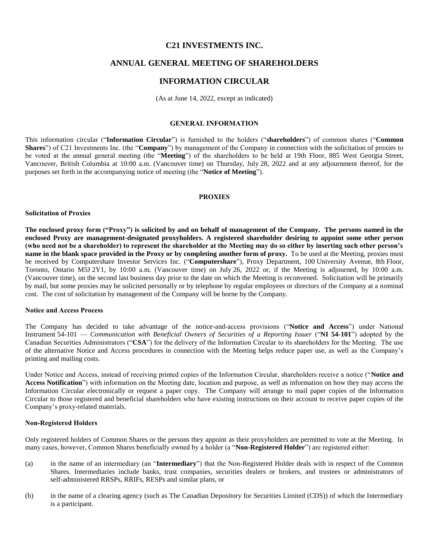## **C21 INVESTMENTS INC.**

# **ANNUAL GENERAL MEETING OF SHAREHOLDERS**

# **INFORMATION CIRCULAR**

(As at June 14, 2022, except as indicated)

### **GENERAL INFORMATION**

This information circular ("**Information Circular**") is furnished to the holders ("**shareholders**") of common shares ("**Common Shares**") of C21 Investments Inc. (the "**Company**") by management of the Company in connection with the solicitation of proxies to be voted at the annual general meeting (the "**Meeting**") of the shareholders to be held at 19th Floor, 885 West Georgia Street, Vancouver, British Columbia at 10:00 a.m. (Vancouver time) on Thursday, July 28, 2022 and at any adjournment thereof, for the purposes set forth in the accompanying notice of meeting (the "**Notice of Meeting**").

#### **PROXIES**

#### <span id="page-0-0"></span>**Solicitation of Proxies**

**The enclosed proxy form ("Proxy") is solicited by and on behalf of management of the Company. The persons named in the enclosed Proxy are management-designated proxyholders. A registered shareholder desiring to appoint some other person (who need not be a shareholder) to represent the shareholder at the Meeting may do so either by inserting such other person's name in the blank space provided in the Proxy or by completing another form of proxy.** To be used at the Meeting, proxies must be received by Computershare Investor Services Inc. ("**Computershare**"), Proxy Department, 100 University Avenue, 8th Floor, Toronto, Ontario M5J 2Y1, by 10:00 a.m. (Vancouver time) on July 26, 2022 or, if the Meeting is adjourned, by 10:00 a.m. (Vancouver time), on the second last business day prior to the date on which the Meeting is reconvened. Solicitation will be primarily by mail, but some proxies may be solicited personally or by telephone by regular employees or directors of the Company at a nominal cost. The cost of solicitation by management of the Company will be borne by the Company.

#### **Notice and Access Process**

The Company has decided to take advantage of the notice-and-access provisions ("**Notice and Access**") under National Instrument 54-101 — *Communication with Beneficial Owners of Securities of a Reporting Issuer* ("**NI 54-101**") adopted by the Canadian Securities Administrators ("**CSA**") for the delivery of the Information Circular to its shareholders for the Meeting. The use of the alternative Notice and Access procedures in connection with the Meeting helps reduce paper use, as well as the Company's printing and mailing costs.

Under Notice and Access, instead of receiving printed copies of the Information Circular, shareholders receive a notice ("**Notice and Access Notification**") with information on the Meeting date, location and purpose, as well as information on how they may access the Information Circular electronically or request a paper copy. The Company will arrange to mail paper copies of the Information Circular to those registered and beneficial shareholders who have existing instructions on their account to receive paper copies of the Company's proxy-related materials.

#### **Non-Registered Holders**

Only registered holders of Common Shares or the persons they appoint as their proxyholders are permitted to vote at the Meeting. In many cases, however, Common Shares beneficially owned by a holder (a "**Non-Registered Holder**") are registered either:

- (a) in the name of an intermediary (an "**Intermediary**") that the Non-Registered Holder deals with in respect of the Common Shares. Intermediaries include banks, trust companies, securities dealers or brokers, and trustees or administrators of self-administered RRSPs, RRIFs, RESPs and similar plans, or
- (b) in the name of a clearing agency (such as The Canadian Depository for Securities Limited (CDS)) of which the Intermediary is a participant.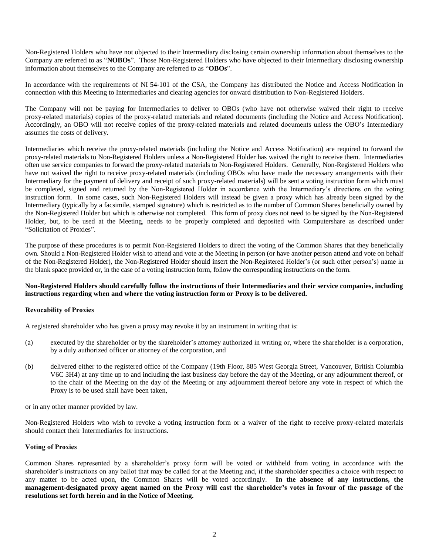Non-Registered Holders who have not objected to their Intermediary disclosing certain ownership information about themselves to the Company are referred to as "**NOBOs**". Those Non-Registered Holders who have objected to their Intermediary disclosing ownership information about themselves to the Company are referred to as "**OBOs**".

In accordance with the requirements of NI 54-101 of the CSA, the Company has distributed the Notice and Access Notification in connection with this Meeting to Intermediaries and clearing agencies for onward distribution to Non-Registered Holders.

The Company will not be paying for Intermediaries to deliver to OBOs (who have not otherwise waived their right to receive proxy-related materials) copies of the proxy-related materials and related documents (including the Notice and Access Notification). Accordingly, an OBO will not receive copies of the proxy-related materials and related documents unless the OBO's Intermediary assumes the costs of delivery.

Intermediaries which receive the proxy-related materials (including the Notice and Access Notification) are required to forward the proxy-related materials to Non-Registered Holders unless a Non-Registered Holder has waived the right to receive them. Intermediaries often use service companies to forward the proxy-related materials to Non-Registered Holders. Generally, Non-Registered Holders who have not waived the right to receive proxy-related materials (including OBOs who have made the necessary arrangements with their Intermediary for the payment of delivery and receipt of such proxy-related materials) will be sent a voting instruction form which must be completed, signed and returned by the Non-Registered Holder in accordance with the Intermediary's directions on the voting instruction form. In some cases, such Non-Registered Holders will instead be given a proxy which has already been signed by the Intermediary (typically by a facsimile, stamped signature) which is restricted as to the number of Common Shares beneficially owned by the Non-Registered Holder but which is otherwise not completed. This form of proxy does not need to be signed by the Non-Registered Holder, but, to be used at the Meeting, needs to be properly completed and deposited with Computershare as described under ["Solicitation of Proxies"](#page-0-0).

The purpose of these procedures is to permit Non-Registered Holders to direct the voting of the Common Shares that they beneficially own. Should a Non-Registered Holder wish to attend and vote at the Meeting in person (or have another person attend and vote on behalf of the Non-Registered Holder), the Non-Registered Holder should insert the Non-Registered Holder's (or such other person's) name in the blank space provided or, in the case of a voting instruction form, follow the corresponding instructions on the form.

## **Non-Registered Holders should carefully follow the instructions of their Intermediaries and their service companies, including instructions regarding when and where the voting instruction form or Proxy is to be delivered.**

## **Revocability of Proxies**

A registered shareholder who has given a proxy may revoke it by an instrument in writing that is:

- (a) executed by the shareholder or by the shareholder's attorney authorized in writing or, where the shareholder is a corporation, by a duly authorized officer or attorney of the corporation, and
- (b) delivered either to the registered office of the Company (19th Floor, 885 West Georgia Street, Vancouver, British Columbia V6C 3H4) at any time up to and including the last business day before the day of the Meeting, or any adjournment thereof, or to the chair of the Meeting on the day of the Meeting or any adjournment thereof before any vote in respect of which the Proxy is to be used shall have been taken,

or in any other manner provided by law.

Non-Registered Holders who wish to revoke a voting instruction form or a waiver of the right to receive proxy-related materials should contact their Intermediaries for instructions.

#### **Voting of Proxies**

Common Shares represented by a shareholder's proxy form will be voted or withheld from voting in accordance with the shareholder's instructions on any ballot that may be called for at the Meeting and, if the shareholder specifies a choice with respect to any matter to be acted upon, the Common Shares will be voted accordingly. **In the absence of any instructions, the management-designated proxy agent named on the Proxy will cast the shareholder's votes in favour of the passage of the resolutions set forth herein and in the Notice of Meeting.**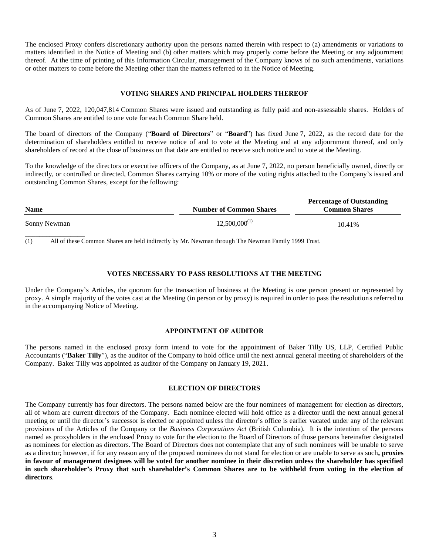The enclosed Proxy confers discretionary authority upon the persons named therein with respect to (a) amendments or variations to matters identified in the Notice of Meeting and (b) other matters which may properly come before the Meeting or any adjournment thereof. At the time of printing of this Information Circular, management of the Company knows of no such amendments, variations or other matters to come before the Meeting other than the matters referred to in the Notice of Meeting.

#### **VOTING SHARES AND PRINCIPAL HOLDERS THEREOF**

As of June 7, 2022, 120,047,814 Common Shares were issued and outstanding as fully paid and non-assessable shares. Holders of Common Shares are entitled to one vote for each Common Share held.

The board of directors of the Company ("**Board of Directors**" or "**Board**") has fixed June 7, 2022, as the record date for the determination of shareholders entitled to receive notice of and to vote at the Meeting and at any adjournment thereof, and only shareholders of record at the close of business on that date are entitled to receive such notice and to vote at the Meeting.

To the knowledge of the directors or executive officers of the Company, as at June 7, 2022, no person beneficially owned, directly or indirectly, or controlled or directed, Common Shares carrying 10% or more of the voting rights attached to the Company's issued and outstanding Common Shares, except for the following:

| <b>Name</b>  | <b>Number of Common Shares</b> | <b>Percentage of Outstanding</b><br><b>Common Shares</b> |  |  |
|--------------|--------------------------------|----------------------------------------------------------|--|--|
| Sonny Newman | $12,500,000^{(1)}$             | 10.41%                                                   |  |  |
|              |                                |                                                          |  |  |

<span id="page-2-0"></span>(1) All of these Common Shares are held indirectly by Mr. Newman through The Newman Family 1999 Trust.

#### **VOTES NECESSARY TO PASS RESOLUTIONS AT THE MEETING**

Under the Company's Articles, the quorum for the transaction of business at the Meeting is one person present or represented by proxy. A simple majority of the votes cast at the Meeting (in person or by proxy) is required in order to pass the resolutions referred to in the accompanying Notice of Meeting.

#### **APPOINTMENT OF AUDITOR**

The persons named in the enclosed proxy form intend to vote for the appointment of Baker Tilly US, LLP, Certified Public Accountants ("**Baker Tilly**"), as the auditor of the Company to hold office until the next annual general meeting of shareholders of the Company. Baker Tilly was appointed as auditor of the Company on January 19, 2021.

#### **ELECTION OF DIRECTORS**

The Company currently has four directors. The persons named below are the four nominees of management for election as directors, all of whom are current directors of the Company. Each nominee elected will hold office as a director until the next annual general meeting or until the director's successor is elected or appointed unless the director's office is earlier vacated under any of the relevant provisions of the Articles of the Company or the *Business Corporations Act* (British Columbia). It is the intention of the persons named as proxyholders in the enclosed Proxy to vote for the election to the Board of Directors of those persons hereinafter designated as nominees for election as directors. The Board of Directors does not contemplate that any of such nominees will be unable to serve as a director; however, if for any reason any of the proposed nominees do not stand for election or are unable to serve as such**, proxies in favour of management designees will be voted for another nominee in their discretion unless the shareholder has specified in such shareholder's Proxy that such shareholder's Common Shares are to be withheld from voting in the election of directors**.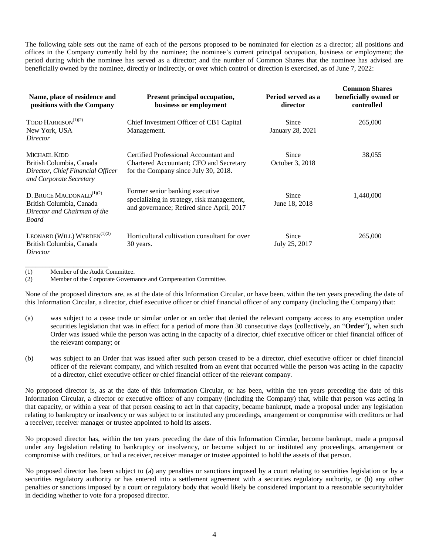The following table sets out the name of each of the persons proposed to be nominated for election as a director; all positions and offices in the Company currently held by the nominee; the nominee's current principal occupation, business or employment; the period during which the nominee has served as a director; and the number of Common Shares that the nominee has advised are beneficially owned by the nominee, directly or indirectly, or over which control or direction is exercised, as of June 7, 2022:

| Name, place of residence and<br>positions with the Company                                                | <b>Present principal occupation,</b><br>business or employment                                                             | Period served as a<br>director | <b>Common Shares</b><br>beneficially owned or<br>controlled |
|-----------------------------------------------------------------------------------------------------------|----------------------------------------------------------------------------------------------------------------------------|--------------------------------|-------------------------------------------------------------|
| TODD HARRISON <sup>(1)(2)</sup><br>New York, USA<br>Director                                              | Chief Investment Officer of CB1 Capital<br>Management.                                                                     | Since<br>January 28, 2021      | 265,000                                                     |
| MICHAEL KIDD<br>British Columbia, Canada<br>Director, Chief Financial Officer<br>and Corporate Secretary  | Certified Professional Accountant and<br>Chartered Accountant; CFO and Secretary<br>for the Company since July 30, 2018.   | Since<br>October 3, 2018       | 38,055                                                      |
| D. BRUCE MACDONALD <sup>(1)(2)</sup><br>British Columbia, Canada<br>Director and Chairman of the<br>Board | Former senior banking executive<br>specializing in strategy, risk management,<br>and governance; Retired since April, 2017 | Since<br>June 18, 2018         | 1,440,000                                                   |
| LEONARD (WILL) WERDEN <sup>(1)(2)</sup><br>British Columbia, Canada<br>Director                           | Horticultural cultivation consultant for over<br>30 years.                                                                 | Since<br>July 25, 2017         | 265,000                                                     |

<span id="page-3-0"></span>\_\_\_\_\_\_\_\_\_\_\_\_\_\_\_\_\_\_\_\_\_\_\_\_ (1) Member of the Audit Committee.

(2) Member of the Corporate Governance and Compensation Committee.

None of the proposed directors are, as at the date of this Information Circular, or have been, within the ten years preceding the date of this Information Circular, a director, chief executive officer or chief financial officer of any company (including the Company) that:

- (a) was subject to a cease trade or similar order or an order that denied the relevant company access to any exemption under securities legislation that was in effect for a period of more than 30 consecutive days (collectively, an "**Order**"), when such Order was issued while the person was acting in the capacity of a director, chief executive officer or chief financial officer of the relevant company; or
- (b) was subject to an Order that was issued after such person ceased to be a director, chief executive officer or chief financial officer of the relevant company, and which resulted from an event that occurred while the person was acting in the capacity of a director, chief executive officer or chief financial officer of the relevant company.

No proposed director is, as at the date of this Information Circular, or has been, within the ten years preceding the date of this Information Circular, a director or executive officer of any company (including the Company) that, while that person was acting in that capacity, or within a year of that person ceasing to act in that capacity, became bankrupt, made a proposal under any legislation relating to bankruptcy or insolvency or was subject to or instituted any proceedings, arrangement or compromise with creditors or had a receiver, receiver manager or trustee appointed to hold its assets.

No proposed director has, within the ten years preceding the date of this Information Circular, become bankrupt, made a proposal under any legislation relating to bankruptcy or insolvency, or become subject to or instituted any proceedings, arrangement or compromise with creditors, or had a receiver, receiver manager or trustee appointed to hold the assets of that person.

No proposed director has been subject to (a) any penalties or sanctions imposed by a court relating to securities legislation or by a securities regulatory authority or has entered into a settlement agreement with a securities regulatory authority, or (b) any other penalties or sanctions imposed by a court or regulatory body that would likely be considered important to a reasonable securityholder in deciding whether to vote for a proposed director.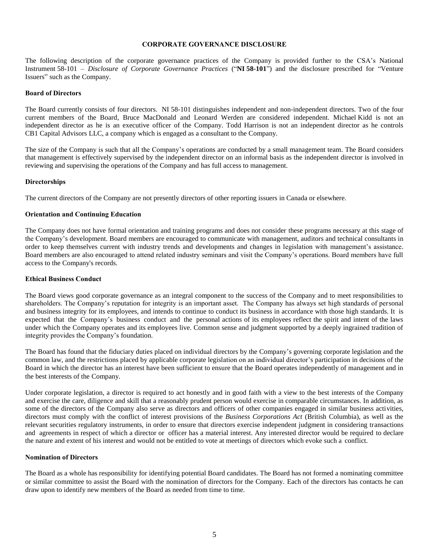#### **CORPORATE GOVERNANCE DISCLOSURE**

The following description of the corporate governance practices of the Company is provided further to the CSA's National Instrument 58-101 – *Disclosure of Corporate Governance Practices* ("**NI 58-101**") and the disclosure prescribed for "Venture Issuers" such as the Company.

#### **Board of Directors**

The Board currently consists of four directors. NI 58-101 distinguishes independent and non-independent directors. Two of the four current members of the Board, Bruce MacDonald and Leonard Werden are considered independent. Michael Kidd is not an independent director as he is an executive officer of the Company. Todd Harrison is not an independent director as he controls CB1 Capital Advisors LLC, a company which is engaged as a consultant to the Company.

The size of the Company is such that all the Company's operations are conducted by a small management team. The Board considers that management is effectively supervised by the independent director on an informal basis as the independent director is involved in reviewing and supervising the operations of the Company and has full access to management.

#### **Directorships**

The current directors of the Company are not presently directors of other reporting issuers in Canada or elsewhere.

#### **Orientation and Continuing Education**

The Company does not have formal orientation and training programs and does not consider these programs necessary at this stage of the Company's development. Board members are encouraged to communicate with management, auditors and technical consultants in order to keep themselves current with industry trends and developments and changes in legislation with management's assistance. Board members are also encouraged to attend related industry seminars and visit the Company's operations. Board members have full access to the Company's records.

#### **Ethical Business Conduct**

The Board views good corporate governance as an integral component to the success of the Company and to meet responsibilities to shareholders. The Company's reputation for integrity is an important asset. The Company has always set high standards of personal and business integrity for its employees, and intends to continue to conduct its business in accordance with those high standards. It is expected that the Company's business conduct and the personal actions of its employees reflect the spirit and intent of the laws under which the Company operates and its employees live. Common sense and judgment supported by a deeply ingrained tradition of integrity provides the Company's foundation.

The Board has found that the fiduciary duties placed on individual directors by the Company's governing corporate legislation and the common law, and the restrictions placed by applicable corporate legislation on an individual director's participation in decisions of the Board in which the director has an interest have been sufficient to ensure that the Board operates independently of management and in the best interests of the Company.

Under corporate legislation, a director is required to act honestly and in good faith with a view to the best interests of the Company and exercise the care, diligence and skill that a reasonably prudent person would exercise in comparable circumstances. In addition, as some of the directors of the Company also serve as directors and officers of other companies engaged in similar business activities, directors must comply with the conflict of interest provisions of the *Business Corporations Act* (British Columbia), as well as the relevant securities regulatory instruments, in order to ensure that directors exercise independent judgment in considering transactions and agreements in respect of which a director or officer has a material interest. Any interested director would be required to declare the nature and extent of his interest and would not be entitled to vote at meetings of directors which evoke such a conflict.

#### **Nomination of Directors**

The Board as a whole has responsibility for identifying potential Board candidates. The Board has not formed a nominating committee or similar committee to assist the Board with the nomination of directors for the Company. Each of the directors has contacts he can draw upon to identify new members of the Board as needed from time to time.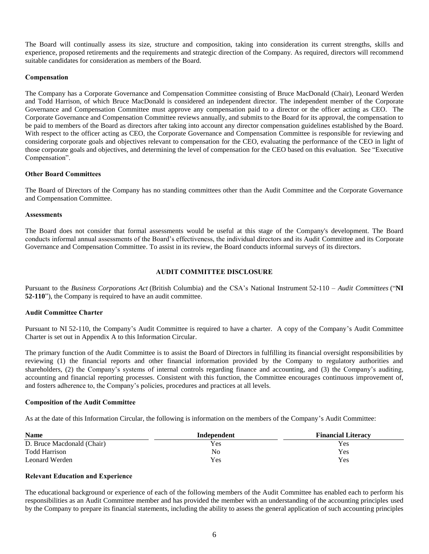The Board will continually assess its size, structure and composition, taking into consideration its current strengths, skills and experience, proposed retirements and the requirements and strategic direction of the Company. As required, directors will recommend suitable candidates for consideration as members of the Board.

### **Compensation**

The Company has a Corporate Governance and Compensation Committee consisting of Bruce MacDonald (Chair), Leonard Werden and Todd Harrison, of which Bruce MacDonald is considered an independent director. The independent member of the Corporate Governance and Compensation Committee must approve any compensation paid to a director or the officer acting as CEO. The Corporate Governance and Compensation Committee reviews annually, and submits to the Board for its approval, the compensation to be paid to members of the Board as directors after taking into account any director compensation guidelines established by the Board. With respect to the officer acting as CEO, the Corporate Governance and Compensation Committee is responsible for reviewing and considering corporate goals and objectives relevant to compensation for the CEO, evaluating the performance of the CEO in light of those corporate goals and objectives, and determining the level of compensation for the CEO based on this evaluation. See "Executive Compensation".

### **Other Board Committees**

The Board of Directors of the Company has no standing committees other than the Audit Committee and the Corporate Governance and Compensation Committee.

### **Assessments**

The Board does not consider that formal assessments would be useful at this stage of the Company's development. The Board conducts informal annual assessments of the Board's effectiveness, the individual directors and its Audit Committee and its Corporate Governance and Compensation Committee. To assist in its review, the Board conducts informal surveys of its directors.

### **AUDIT COMMITTEE DISCLOSURE**

Pursuant to the *Business Corporations Act* (British Columbia) and the CSA's National Instrument 52-110 – *Audit Committees* ("**NI 52-110**"), the Company is required to have an audit committee.

### **Audit Committee Charter**

Pursuant to NI 52-110, the Company's Audit Committee is required to have a charter. A copy of the Company's Audit Committee Charter is set out in Appendix A to this Information Circular.

The primary function of the Audit Committee is to assist the Board of Directors in fulfilling its financial oversight responsibilities by reviewing (1) the financial reports and other financial information provided by the Company to regulatory authorities and shareholders, (2) the Company's systems of internal controls regarding finance and accounting, and (3) the Company's auditing, accounting and financial reporting processes. Consistent with this function, the Committee encourages continuous improvement of, and fosters adherence to, the Company's policies, procedures and practices at all levels.

#### **Composition of the Audit Committee**

As at the date of this Information Circular, the following is information on the members of the Company's Audit Committee:

| <b>Name</b>                | Independent | <b>Financial Literacy</b> |
|----------------------------|-------------|---------------------------|
| D. Bruce Macdonald (Chair) | Yes.        | Yes                       |
| <b>Todd Harrison</b>       | No          | Yes                       |
| Leonard Werden             | Yes.        | Yes                       |

#### **Relevant Education and Experience**

The educational background or experience of each of the following members of the Audit Committee has enabled each to perform his responsibilities as an Audit Committee member and has provided the member with an understanding of the accounting principles used by the Company to prepare its financial statements, including the ability to assess the general application of such accounting principles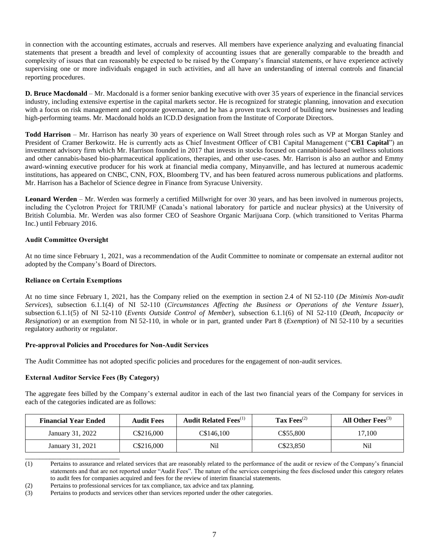in connection with the accounting estimates, accruals and reserves. All members have experience analyzing and evaluating financial statements that present a breadth and level of complexity of accounting issues that are generally comparable to the breadth and complexity of issues that can reasonably be expected to be raised by the Company's financial statements, or have experience actively supervising one or more individuals engaged in such activities, and all have an understanding of internal controls and financial reporting procedures.

**D. Bruce Macdonald** – Mr. Macdonald is a former senior banking executive with over 35 years of experience in the financial services industry, including extensive expertise in the capital markets sector. He is recognized for strategic planning, innovation and execution with a focus on risk management and corporate governance, and he has a proven track record of building new businesses and leading high-performing teams. Mr. Macdonald holds an ICD.D designation from the Institute of Corporate Directors.

**Todd Harrison** *–* Mr. Harrison has nearly 30 years of experience on Wall Street through roles such as VP at Morgan Stanley and President of Cramer Berkowitz. He is currently acts as Chief Investment Officer of CB1 Capital Management ("**CB1 Capital**") an investment advisory firm which Mr. Harrison founded in 2017 that invests in stocks focused on cannabinoid-based wellness solutions and other cannabis-based bio-pharmaceutical applications, therapies, and other use-cases. Mr. Harrison is also an author and Emmy award-winning executive producer for his work at financial media company, Minyanville, and has lectured at numerous academic institutions, has appeared on CNBC, CNN, FOX, Bloomberg TV, and has been featured across numerous publications and platforms. Mr. Harrison has a Bachelor of Science degree in Finance from Syracuse University.

**Leonard Werden** – Mr. Werden was formerly a certified Millwright for over 30 years, and has been involved in numerous projects, including the Cyclotron Project for TRIUMF (Canada's national laboratory for particle and nuclear physics) at the University of British Columbia. Mr. Werden was also former CEO of Seashore Organic Marijuana Corp. (which transitioned to Veritas Pharma Inc.) until February 2016.

## **Audit Committee Oversight**

At no time since February 1, 2021, was a recommendation of the Audit Committee to nominate or compensate an external auditor not adopted by the Company's Board of Directors.

## **Reliance on Certain Exemptions**

At no time since February 1, 2021, has the Company relied on the exemption in section 2.4 of NI 52-110 (*De Minimis Non-audit Services*), subsection 6.1.1(4) of NI 52-110 (*Circumstances Affecting the Business or Operations of the Venture Issuer*), subsection 6.1.1(5) of NI 52-110 (*Events Outside Control of Member*), subsection 6.1.1(6) of NI 52-110 (*Death, Incapacity or Resignation*) or an exemption from NI 52-110, in whole or in part, granted under Part 8 (*Exemption*) of NI 52-110 by a securities regulatory authority or regulator.

## **Pre-approval Policies and Procedures for Non-Audit Services**

The Audit Committee has not adopted specific policies and procedures for the engagement of non-audit services.

## **External Auditor Service Fees (By Category)**

\_\_\_\_\_\_\_\_\_\_\_\_\_\_\_\_\_\_\_\_\_\_\_\_\_\_\_

The aggregate fees billed by the Company's external auditor in each of the last two financial years of the Company for services in each of the categories indicated are as follows:

| <b>Financial Year Ended</b> | <b>Audit Fees</b> | <b>Audit Related Fees</b> <sup>(1)</sup> | Tax $\mathrm{Fees}^{(2)}$ | All Other Fees $^{(3)}$ |
|-----------------------------|-------------------|------------------------------------------|---------------------------|-------------------------|
| January 31, 2022            | C\$216,000        | C\$146.100                               | C\$55,800                 | 17,100                  |
| January 31, 2021            | C\$216,000        | Nil                                      | C\$23.850                 | Nil                     |

<span id="page-6-0"></span><sup>(1)</sup> Pertains to assurance and related services that are reasonably related to the performance of the audit or review of the Company's financial statements and that are not reported under "Audit Fees". The nature of the services comprising the fees disclosed under this category relates to audit fees for companies acquired and fees for the review of interim financial statements.

<span id="page-6-1"></span>(2) Pertains to professional services for tax compliance, tax advice and tax planning.

<span id="page-6-2"></span>(3) Pertains to products and services other than services reported under the other categories.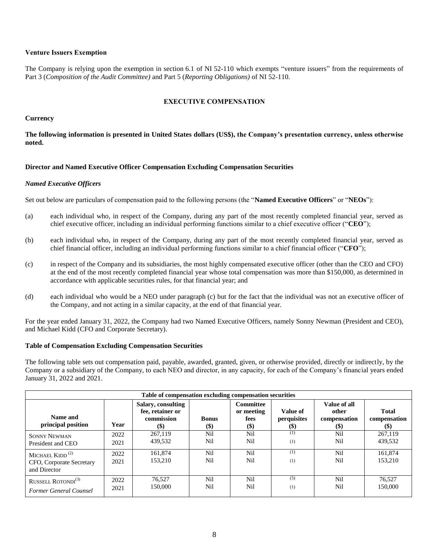## **Venture Issuers Exemption**

<span id="page-7-0"></span>The Company is relying upon the exemption in section 6.1 of NI 52-110 which exempts "venture issuers" from the requirements of Part 3 (*Composition of the Audit Committee)* and Part 5 (*Reporting Obligations)* of NI 52-110.

### **EXECUTIVE COMPENSATION**

#### **Currency**

**The following information is presented in United States dollars (US\$), the Company's presentation currency, unless otherwise noted.**

#### **Director and Named Executive Officer Compensation Excluding Compensation Securities**

#### *Named Executive Officers*

Set out below are particulars of compensation paid to the following persons (the "**Named Executive Officers**" or "**NEOs**"):

- (a) each individual who, in respect of the Company, during any part of the most recently completed financial year, served as chief executive officer, including an individual performing functions similar to a chief executive officer ("**CEO**");
- (b) each individual who, in respect of the Company, during any part of the most recently completed financial year, served as chief financial officer, including an individual performing functions similar to a chief financial officer ("**CFO**");
- (c) in respect of the Company and its subsidiaries, the most highly compensated executive officer (other than the CEO and CFO) at the end of the most recently completed financial year whose total compensation was more than \$150,000, as determined in accordance with applicable securities rules, for that financial year; and
- (d) each individual who would be a NEO under paragraph (c) but for the fact that the individual was not an executive officer of the Company, and not acting in a similar capacity, at the end of that financial year.

For the year ended January 31, 2022, the Company had two Named Executive Officers, namely Sonny Newman (President and CEO), and Michael Kidd (CFO and Corporate Secretary).

#### **Table of Compensation Excluding Compensation Securities**

The following table sets out compensation paid, payable, awarded, granted, given, or otherwise provided, directly or indirectly, by the Company or a subsidiary of the Company, to each NEO and director, in any capacity, for each of the Company's financial years ended January 31, 2022 and 2021.

| Table of compensation excluding compensation securities                                 |              |                                                                |                        |                                                   |                                        |                                                                    |                                                           |
|-----------------------------------------------------------------------------------------|--------------|----------------------------------------------------------------|------------------------|---------------------------------------------------|----------------------------------------|--------------------------------------------------------------------|-----------------------------------------------------------|
| Name and<br>principal position                                                          | Year         | Salary, consulting<br>fee, retainer or<br>commission<br>$(\$)$ | <b>Bonus</b><br>$(\$)$ | <b>Committee</b><br>or meeting<br>fees<br>$($ \$) | Value of<br>perquisites<br><b>(\$)</b> | Value of all<br>other<br>compensation<br>$\left( \text{\$}\right)$ | <b>Total</b><br>compensation<br>$\left( \text{\$}\right)$ |
| <b>SONNY NEWMAN</b><br>President and CEO                                                | 2022<br>2021 | 267,119<br>439,532                                             | Nil<br>Nil             | Nil<br>Nil                                        | (1)<br>(1)                             | Nil<br>Nil                                                         | 267,119<br>439.532                                        |
| MICHAEL $K$ IDD <sup><math>(2)</math></sup><br>CFO, Corporate Secretary<br>and Director | 2022<br>2021 | 161,874<br>153,210                                             | Nil<br>Nil             | Nil<br>Nil                                        | (1)<br>(1)                             | Nil<br>Nil                                                         | 161.874<br>153.210                                        |
| RUSSELL ROTONDI $^{(3)}$<br>Former General Counsel                                      | 2022<br>2021 | 76.527<br>150.000                                              | Nil<br>Nil             | Nil<br>Nil                                        | (5)<br>(1)                             | Nil<br>Nil                                                         | 76.527<br>150,000                                         |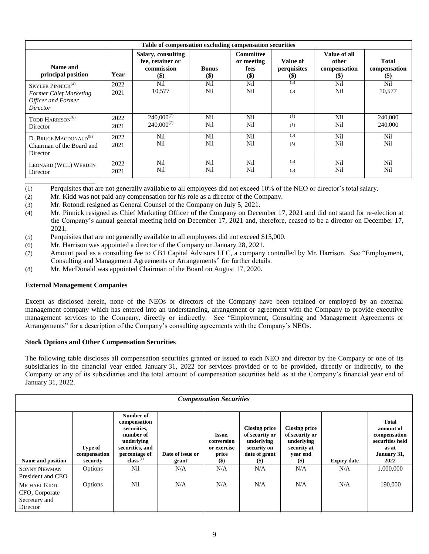| Table of compensation excluding compensation securities                                                   |              |                                                                       |                            |                                                        |                                                              |                                                     |                                               |
|-----------------------------------------------------------------------------------------------------------|--------------|-----------------------------------------------------------------------|----------------------------|--------------------------------------------------------|--------------------------------------------------------------|-----------------------------------------------------|-----------------------------------------------|
| Name and<br>principal position                                                                            | Year<br>2022 | Salary, consulting<br>fee, retainer or<br>commission<br>$(\$)$<br>Nil | <b>Bonus</b><br>\$)<br>Nil | <b>Committee</b><br>or meeting<br>fees<br>$($)$<br>Nil | Value of<br>perquisites<br>$\left( \mathbb{S}\right)$<br>(5) | Value of all<br>other<br>compensation<br>(S)<br>Nil | <b>Total</b><br>compensation<br>$(\$)$<br>Nil |
| $SKYLER$ PINNICK <sup>(4)</sup><br><b>Former Chief Marketing</b><br><b>Officer and Former</b><br>Director | 2021         | 10.577                                                                | Nil                        | Nil                                                    | (5)                                                          | Nil                                                 | 10,577                                        |
| TODD HARRISON <sup>(6)</sup><br>Director                                                                  | 2022<br>2021 | $240,000^{(7)}$<br>$240,000^{(7)}$                                    | Nil<br>Nil                 | Nil<br>Nil                                             | (1)<br>(1)                                                   | Nil<br>Nil                                          | 240,000<br>240,000                            |
| D. BRUCE MACDONALD <sup>(8)</sup><br>Chairman of the Board and<br>Director                                | 2022<br>2021 | Nil<br>Nil                                                            | Nil<br>Nil                 | Nil<br>Nil                                             | (5)<br>(5)                                                   | Nil<br>Nil                                          | Nil<br>Nil                                    |
| LEONARD (WILL) WERDEN<br>Director                                                                         | 2022<br>2021 | Nil<br>Nil                                                            | Nil<br>Nil                 | Nil<br>Nil                                             | (5)<br>(5)                                                   | Nil<br>Nil                                          | Nil<br>Nil                                    |

\_\_\_\_\_\_\_\_\_\_\_\_\_\_\_\_\_\_\_\_\_\_\_\_\_ (1) Perquisites that are not generally available to all employees did not exceed 10% of the NEO or director's total salary.

(2) Mr. Kidd was not paid any compensation for his role as a director of the Company.

- (3) Mr. Rotondi resigned as General Counsel of the Company on July 5, 2021.
- (4) Mr. Pinnick resigned as Chief Marketing Officer of the Company on December 17, 2021 and did not stand for re-election at the Company's annual general meeting held on December 17, 2021 and, therefore, ceased to be a director on December 17, 2021.
- (5) Perquisites that are not generally available to all employees did not exceed \$15,000.
- (6) Mr. Harrison was appointed a director of the Company on January 28, 2021.
- (7) Amount paid as a consulting fee to CB1 Capital Advisors LLC, a company controlled by Mr. Harrison. See ["Employment,](#page-11-0)  [Consulting and Management Agreements or Arrangements"](#page-11-0) for further details.
- (8) Mr. MacDonald was appointed Chairman of the Board on August 17, 2020.

## **External Management Companies**

Except as disclosed herein, none of the NEOs or directors of the Company have been retained or employed by an external management company which has entered into an understanding, arrangement or agreement with the Company to provide executive management services to the Company, directly or indirectly. See ["Employment, Consulting and Management Agreements or](#page-11-0)  [Arrangements"](#page-11-0) for a description of the Company's consulting agreements with the Company's NEOs.

## **Stock Options and Other Compensation Securities**

The following table discloses all compensation securities granted or issued to each NEO and director by the Company or one of its subsidiaries in the financial year ended January 31, 2022 for services provided or to be provided, directly or indirectly, to the Company or any of its subsidiaries and the total amount of compensation securities held as at the Company's financial year end of January 31, 2022.

| <b>Compensation Securities</b>                                     |                                     |                                                                                                                          |                           |                                                                             |                                                                                                     |                                                                                           |                    |                                                                                              |
|--------------------------------------------------------------------|-------------------------------------|--------------------------------------------------------------------------------------------------------------------------|---------------------------|-----------------------------------------------------------------------------|-----------------------------------------------------------------------------------------------------|-------------------------------------------------------------------------------------------|--------------------|----------------------------------------------------------------------------------------------|
| Name and position                                                  | Type of<br>compensation<br>security | Number of<br>compensation<br>securities,<br>number of<br>underlying<br>securities, and<br>percentage of<br>$class^{(1)}$ | Date of issue or<br>grant | Issue,<br>conversion<br>or exercise<br>price<br>$\left( \mathbf{\$}\right)$ | <b>Closing price</b><br>of security or<br>underlying<br>security on<br>date of grant<br><b>(\$)</b> | <b>Closing price</b><br>of security or<br>underlying<br>security at<br>year end<br>$(\$)$ | <b>Expiry date</b> | <b>Total</b><br>amount of<br>compensation<br>securities held<br>as at<br>January 31,<br>2022 |
| <b>SONNY NEWMAN</b><br>President and CEO                           | Options                             | Nil                                                                                                                      | N/A                       | N/A                                                                         | N/A                                                                                                 | N/A                                                                                       | N/A                | 1,000,000                                                                                    |
| <b>MICHAEL KIDD</b><br>CFO, Corporate<br>Secretary and<br>Director | Options                             | Nil                                                                                                                      | N/A                       | N/A                                                                         | N/A                                                                                                 | N/A                                                                                       | N/A                | 190,000                                                                                      |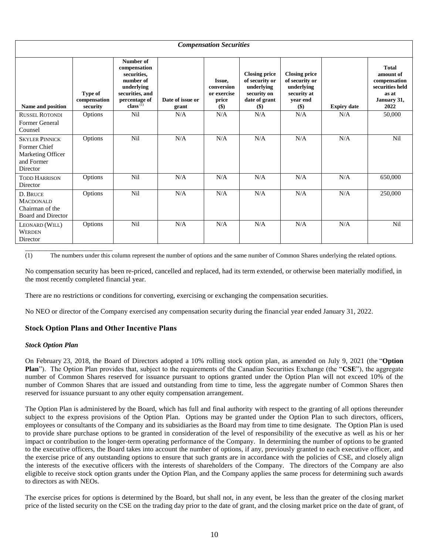| <b>Compensation Securities</b>                                                       |                                     |                                                                                                                           |                           |                                                       |                                                                                               |                                                                                          |                    |                                                                                              |
|--------------------------------------------------------------------------------------|-------------------------------------|---------------------------------------------------------------------------------------------------------------------------|---------------------------|-------------------------------------------------------|-----------------------------------------------------------------------------------------------|------------------------------------------------------------------------------------------|--------------------|----------------------------------------------------------------------------------------------|
|                                                                                      |                                     |                                                                                                                           |                           |                                                       |                                                                                               |                                                                                          |                    |                                                                                              |
| Name and position                                                                    | Type of<br>compensation<br>security | Number of<br>compensation<br>securities,<br>number of<br>underlying<br>securities, and<br>percentage of<br>class $^{(1)}$ | Date of issue or<br>grant | Issue,<br>conversion<br>or exercise<br>price<br>$($)$ | <b>Closing price</b><br>of security or<br>underlying<br>security on<br>date of grant<br>$($)$ | <b>Closing price</b><br>of security or<br>underlying<br>security at<br>vear end<br>$($)$ | <b>Expiry date</b> | <b>Total</b><br>amount of<br>compensation<br>securities held<br>as at<br>January 31,<br>2022 |
| <b>RUSSEL ROTONDI</b>                                                                | Options                             | Nil                                                                                                                       | N/A                       | N/A                                                   | N/A                                                                                           | N/A                                                                                      | N/A                | 50,000                                                                                       |
| Former General<br>Counsel                                                            |                                     |                                                                                                                           |                           |                                                       |                                                                                               |                                                                                          |                    |                                                                                              |
| <b>SKYLER PINNICK</b><br>Former Chief<br>Marketing Officer<br>and Former<br>Director | Options                             | Nil                                                                                                                       | N/A                       | N/A                                                   | N/A                                                                                           | N/A                                                                                      | N/A                | Nil                                                                                          |
| <b>TODD HARRISON</b><br>Director                                                     | Options                             | Nil                                                                                                                       | N/A                       | N/A                                                   | N/A                                                                                           | N/A                                                                                      | N/A                | 650,000                                                                                      |
| D. BRUCE<br><b>MACDONALD</b><br>Chairman of the<br>Board and Director                | Options                             | Nil                                                                                                                       | N/A                       | N/A                                                   | N/A                                                                                           | N/A                                                                                      | N/A                | 250,000                                                                                      |
| LEONARD (WILL)<br><b>WERDEN</b><br>Director                                          | Options                             | Nil                                                                                                                       | N/A                       | N/A                                                   | N/A                                                                                           | N/A                                                                                      | N/A                | Nil                                                                                          |

<span id="page-9-0"></span>(1) The numbers under this column represent the number of options and the same number of Common Shares underlying the related options.

No compensation security has been re-priced, cancelled and replaced, had its term extended, or otherwise been materially modified, in the most recently completed financial year.

There are no restrictions or conditions for converting, exercising or exchanging the compensation securities.

No NEO or director of the Company exercised any compensation security during the financial year ended January 31, 2022.

## <span id="page-9-1"></span>**Stock Option Plans and Other Incentive Plans**

#### *Stock Option Plan*

\_\_\_\_\_\_\_\_\_\_\_\_\_\_\_\_\_\_\_\_\_\_\_\_\_

On February 23, 2018, the Board of Directors adopted a 10% rolling stock option plan, as amended on July 9, 2021 (the "**Option Plan**"). The Option Plan provides that, subject to the requirements of the Canadian Securities Exchange (the "**CSE**"), the aggregate number of Common Shares reserved for issuance pursuant to options granted under the Option Plan will not exceed 10% of the number of Common Shares that are issued and outstanding from time to time, less the aggregate number of Common Shares then reserved for issuance pursuant to any other equity compensation arrangement.

The Option Plan is administered by the Board, which has full and final authority with respect to the granting of all options thereunder subject to the express provisions of the Option Plan. Options may be granted under the Option Plan to such directors, officers, employees or consultants of the Company and its subsidiaries as the Board may from time to time designate. The Option Plan is used to provide share purchase options to be granted in consideration of the level of responsibility of the executive as well as his or her impact or contribution to the longer-term operating performance of the Company. In determining the number of options to be granted to the executive officers, the Board takes into account the number of options, if any, previously granted to each executive officer, and the exercise price of any outstanding options to ensure that such grants are in accordance with the policies of CSE, and closely align the interests of the executive officers with the interests of shareholders of the Company. The directors of the Company are also eligible to receive stock option grants under the Option Plan, and the Company applies the same process for determining such awards to directors as with NEOs.

The exercise prices for options is determined by the Board, but shall not, in any event, be less than the greater of the closing market price of the listed security on the CSE on the trading day prior to the date of grant, and the closing market price on the date of grant, of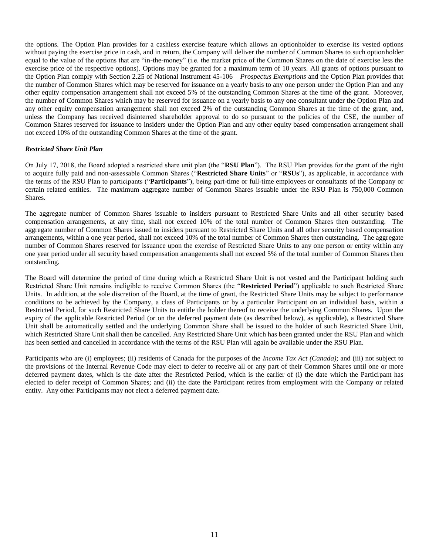the options. The Option Plan provides for a cashless exercise feature which allows an optionholder to exercise its vested options without paying the exercise price in cash, and in return, the Company will deliver the number of Common Shares to such optionholder equal to the value of the options that are "in-the-money" (i.e. the market price of the Common Shares on the date of exercise less the exercise price of the respective options). Options may be granted for a maximum term of 10 years. All grants of options pursuant to the Option Plan comply with Section 2.25 of National Instrument 45-106 – *Prospectus Exemptions* and the Option Plan provides that the number of Common Shares which may be reserved for issuance on a yearly basis to any one person under the Option Plan and any other equity compensation arrangement shall not exceed 5% of the outstanding Common Shares at the time of the grant. Moreover, the number of Common Shares which may be reserved for issuance on a yearly basis to any one consultant under the Option Plan and any other equity compensation arrangement shall not exceed 2% of the outstanding Common Shares at the time of the grant, and, unless the Company has received disinterred shareholder approval to do so pursuant to the policies of the CSE, the number of Common Shares reserved for issuance to insiders under the Option Plan and any other equity based compensation arrangement shall not exceed 10% of the outstanding Common Shares at the time of the grant.

### *Restricted Share Unit Plan*

On July 17, 2018, the Board adopted a restricted share unit plan (the "**RSU Plan**"). The RSU Plan provides for the grant of the right to acquire fully paid and non-assessable Common Shares ("**Restricted Share Units**" or "**RSUs**"), as applicable, in accordance with the terms of the RSU Plan to participants ("**Participants**"), being part-time or full-time employees or consultants of the Company or certain related entities. The maximum aggregate number of Common Shares issuable under the RSU Plan is 750,000 Common Shares.

The aggregate number of Common Shares issuable to insiders pursuant to Restricted Share Units and all other security based compensation arrangements, at any time, shall not exceed 10% of the total number of Common Shares then outstanding. The aggregate number of Common Shares issued to insiders pursuant to Restricted Share Units and all other security based compensation arrangements, within a one year period, shall not exceed 10% of the total number of Common Shares then outstanding. The aggregate number of Common Shares reserved for issuance upon the exercise of Restricted Share Units to any one person or entity within any one year period under all security based compensation arrangements shall not exceed 5% of the total number of Common Shares then outstanding.

The Board will determine the period of time during which a Restricted Share Unit is not vested and the Participant holding such Restricted Share Unit remains ineligible to receive Common Shares (the "**Restricted Period**") applicable to such Restricted Share Units. In addition, at the sole discretion of the Board, at the time of grant, the Restricted Share Units may be subject to performance conditions to be achieved by the Company, a class of Participants or by a particular Participant on an individual basis, within a Restricted Period, for such Restricted Share Units to entitle the holder thereof to receive the underlying Common Shares. Upon the expiry of the applicable Restricted Period (or on the deferred payment date (as described below), as applicable), a Restricted Share Unit shall be automatically settled and the underlying Common Share shall be issued to the holder of such Restricted Share Unit, which Restricted Share Unit shall then be cancelled. Any Restricted Share Unit which has been granted under the RSU Plan and which has been settled and cancelled in accordance with the terms of the RSU Plan will again be available under the RSU Plan.

Participants who are (i) employees; (ii) residents of Canada for the purposes of the *Income Tax Act (Canada)*; and (iii) not subject to the provisions of the Internal Revenue Code may elect to defer to receive all or any part of their Common Shares until one or more deferred payment dates, which is the date after the Restricted Period, which is the earlier of (i) the date which the Participant has elected to defer receipt of Common Shares; and (ii) the date the Participant retires from employment with the Company or related entity. Any other Participants may not elect a deferred payment date.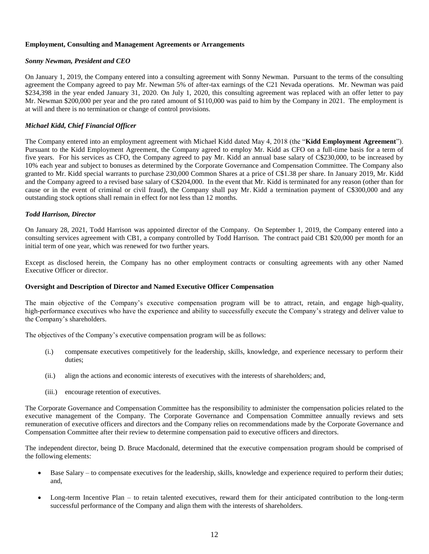### <span id="page-11-0"></span>**Employment, Consulting and Management Agreements or Arrangements**

### *Sonny Newman, President and CEO*

On January 1, 2019, the Company entered into a consulting agreement with Sonny Newman. Pursuant to the terms of the consulting agreement the Company agreed to pay Mr. Newman 5% of after-tax earnings of the C21 Nevada operations. Mr. Newman was paid \$234,398 in the year ended January 31, 2020. On July 1, 2020, this consulting agreement was replaced with an offer letter to pay Mr. Newman \$200,000 per year and the pro rated amount of \$110,000 was paid to him by the Company in 2021. The employment is at will and there is no termination or change of control provisions.

### *Michael Kidd, Chief Financial Officer*

The Company entered into an employment agreement with Michael Kidd dated May 4, 2018 (the "**Kidd Employment Agreement**"). Pursuant to the Kidd Employment Agreement, the Company agreed to employ Mr. Kidd as CFO on a full-time basis for a term of five years. For his services as CFO, the Company agreed to pay Mr. Kidd an annual base salary of C\$230,000, to be increased by 10% each year and subject to bonuses as determined by the Corporate Governance and Compensation Committee. The Company also granted to Mr. Kidd special warrants to purchase 230,000 Common Shares at a price of C\$1.38 per share. In January 2019, Mr. Kidd and the Company agreed to a revised base salary of C\$204,000. In the event that Mr. Kidd is terminated for any reason (other than for cause or in the event of criminal or civil fraud), the Company shall pay Mr. Kidd a termination payment of C\$300,000 and any outstanding stock options shall remain in effect for not less than 12 months.

#### *Todd Harrison, Director*

On January 28, 2021, Todd Harrison was appointed director of the Company. On September 1, 2019, the Company entered into a consulting services agreement with CB1, a company controlled by Todd Harrison. The contract paid CB1 \$20,000 per month for an initial term of one year, which was renewed for two further years.

Except as disclosed herein, the Company has no other employment contracts or consulting agreements with any other Named Executive Officer or director.

#### **Oversight and Description of Director and Named Executive Officer Compensation**

The main objective of the Company's executive compensation program will be to attract, retain, and engage high-quality, high-performance executives who have the experience and ability to successfully execute the Company's strategy and deliver value to the Company's shareholders.

The objectives of the Company's executive compensation program will be as follows:

- (i.) compensate executives competitively for the leadership, skills, knowledge, and experience necessary to perform their duties;
- (ii.) align the actions and economic interests of executives with the interests of shareholders; and,
- (iii.) encourage retention of executives.

The Corporate Governance and Compensation Committee has the responsibility to administer the compensation policies related to the executive management of the Company. The Corporate Governance and Compensation Committee annually reviews and sets remuneration of executive officers and directors and the Company relies on recommendations made by the Corporate Governance and Compensation Committee after their review to determine compensation paid to executive officers and directors.

The independent director, being D. Bruce Macdonald, determined that the executive compensation program should be comprised of the following elements:

- Base Salary to compensate executives for the leadership, skills, knowledge and experience required to perform their duties; and,
- Long-term Incentive Plan to retain talented executives, reward them for their anticipated contribution to the long-term successful performance of the Company and align them with the interests of shareholders.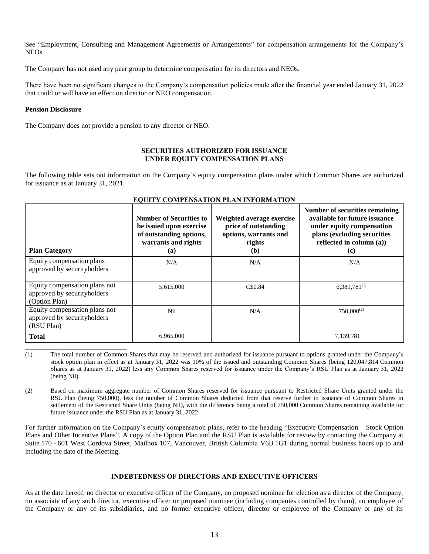See ["Employment, Consulting and Management Agreements or Arrangements"](#page-11-0) for compensation arrangements for the Company's NEOs.

The Company has not used any peer group to determine compensation for its directors and NEOs.

There have been no significant changes to the Company's compensation policies made after the financial year ended January 31, 2022 that could or will have an effect on director or NEO compensation.

### **Pension Disclosure**

\_\_\_\_\_\_\_\_\_\_\_\_\_\_\_\_\_\_\_\_\_\_\_\_\_\_\_\_\_

The Company does not provide a pension to any director or NEO.

#### **SECURITIES AUTHORIZED FOR ISSUANCE UNDER EQUITY COMPENSATION PLANS**

The following table sets out information on the Company's equity compensation plans under which Common Shares are authorized for issuance as at January 31, 2021.

| <b>Plan Category</b>                                                          | <b>Number of Securities to</b><br>be issued upon exercise<br>of outstanding options,<br>warrants and rights<br>(a) | Weighted average exercise<br>price of outstanding<br>options, warrants and<br>rights<br>(b) | Number of securities remaining<br>available for future issuance<br>under equity compensation<br>plans (excluding securities<br>reflected in column $(a)$ )<br>$\left( \mathbf{c} \right)$ |
|-------------------------------------------------------------------------------|--------------------------------------------------------------------------------------------------------------------|---------------------------------------------------------------------------------------------|-------------------------------------------------------------------------------------------------------------------------------------------------------------------------------------------|
| Equity compensation plans<br>approved by securityholders                      | N/A                                                                                                                | N/A                                                                                         | N/A                                                                                                                                                                                       |
| Equity compensation plans not<br>approved by securityholders<br>(Option Plan) | 5,615,000                                                                                                          | C\$0.84                                                                                     | $6,389,781^{(1)}$                                                                                                                                                                         |
| Equity compensation plans not<br>approved by securityholders<br>(RSU Plan)    | Nil                                                                                                                | N/A                                                                                         | $750,000^{(2)}$                                                                                                                                                                           |
| <b>Total</b>                                                                  | 6,965,000                                                                                                          |                                                                                             | 7,139,781                                                                                                                                                                                 |

## **EQUITY COMPENSATION PLAN INFORMATION**

<span id="page-12-1"></span>(2) Based on maximum aggregate number of Common Shares reserved for issuance pursuant to Restricted Share Units granted under the RSU Plan (being 750,000), less the number of Common Shares deducted from that reserve further to issuance of Common Shares in settlement of the Restricted Share Units (being Nil), with the difference being a total of 750,000 Common Shares remaining available for future issuance under the RSU Plan as at January 31, 2022.

For further information on the Company's equity compensation plans, refer to the heading ["Executive Compensation](#page-7-0) – [Stock Option](#page-9-1)  [Plans and Other Incentive Plans"](#page-9-1). A copy of the Option Plan and the RSU Plan is available for review by contacting the Company at Suite 170 - 601 West Cordova Street, Mailbox 107, Vancouver, British Columbia V6B 1G1 during normal business hours up to and including the date of the Meeting.

## **INDEBTEDNESS OF DIRECTORS AND EXECUTIVE OFFICERS**

As at the date hereof, no director or executive officer of the Company, no proposed nominee for election as a director of the Company, no associate of any such director, executive officer or proposed nominee (including companies controlled by them), no employee of the Company or any of its subsidiaries, and no former executive officer, director or employee of the Company or any of its

<span id="page-12-0"></span><sup>(1)</sup> The total number of Common Shares that may be reserved and authorized for issuance pursuant to options granted under the Company's stock option plan in effect as at January 31, 2022 was 10% of the issued and outstanding Common Shares (being 120,047,814 Common Shares as at January 31, 2022) less any Common Shares reserved for issuance under the Company's RSU Plan as at January 31, 2022 (being Nil).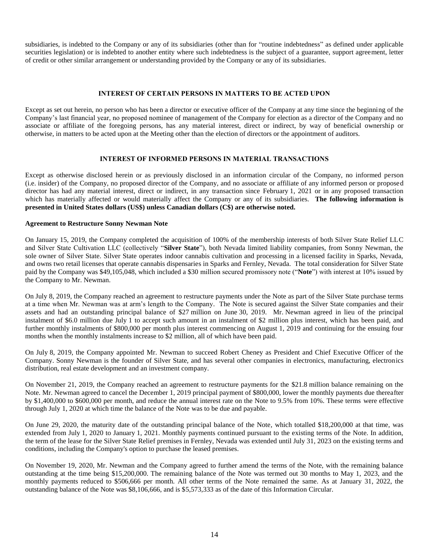subsidiaries, is indebted to the Company or any of its subsidiaries (other than for "routine indebtedness" as defined under applicable securities legislation) or is indebted to another entity where such indebtedness is the subject of a guarantee, support agreement, letter of credit or other similar arrangement or understanding provided by the Company or any of its subsidiaries.

### **INTEREST OF CERTAIN PERSONS IN MATTERS TO BE ACTED UPON**

Except as set out herein, no person who has been a director or executive officer of the Company at any time since the beginning of the Company's last financial year, no proposed nominee of management of the Company for election as a director of the Company and no associate or affiliate of the foregoing persons, has any material interest, direct or indirect, by way of beneficial ownership or otherwise, in matters to be acted upon at the Meeting other than the election of directors or the appointment of auditors.

### **INTEREST OF INFORMED PERSONS IN MATERIAL TRANSACTIONS**

Except as otherwise disclosed herein or as previously disclosed in an information circular of the Company, no informed person (i.e. insider) of the Company, no proposed director of the Company, and no associate or affiliate of any informed person or proposed director has had any material interest, direct or indirect, in any transaction since February 1, 2021 or in any proposed transaction which has materially affected or would materially affect the Company or any of its subsidiaries. **The following information is presented in United States dollars (US\$) unless Canadian dollars (C\$) are otherwise noted.**

#### **Agreement to Restructure Sonny Newman Note**

On January 15, 2019, the Company completed the acquisition of 100% of the membership interests of both Silver State Relief LLC and Silver State Cultivation LLC (collectively "**Silver State**"), both Nevada limited liability companies, from Sonny Newman, the sole owner of Silver State. Silver State operates indoor cannabis cultivation and processing in a licensed facility in Sparks, Nevada, and owns two retail licenses that operate cannabis dispensaries in Sparks and Fernley, Nevada. The total consideration for Silver State paid by the Company was \$49,105,048, which included a \$30 million secured promissory note ("**Note**") with interest at 10% issued by the Company to Mr. Newman.

On July 8, 2019, the Company reached an agreement to restructure payments under the Note as part of the Silver State purchase terms at a time when Mr. Newman was at arm's length to the Company. The Note is secured against the Silver State companies and their assets and had an outstanding principal balance of \$27 million on June 30, 2019. Mr. Newman agreed in lieu of the principal instalment of \$6.0 million due July 1 to accept such amount in an instalment of \$2 million plus interest, which has been paid, and further monthly instalments of \$800,000 per month plus interest commencing on August 1, 2019 and continuing for the ensuing four months when the monthly instalments increase to \$2 million, all of which have been paid.

On July 8, 2019, the Company appointed Mr. Newman to succeed Robert Cheney as President and Chief Executive Officer of the Company. Sonny Newman is the founder of Silver State, and has several other companies in electronics, manufacturing, electronics distribution, real estate development and an investment company.

On November 21, 2019, the Company reached an agreement to restructure payments for the \$21.8 million balance remaining on the Note. Mr. Newman agreed to cancel the December 1, 2019 principal payment of \$800,000, lower the monthly payments due thereafter by \$1,400,000 to \$600,000 per month, and reduce the annual interest rate on the Note to 9.5% from 10%. These terms were effective through July 1, 2020 at which time the balance of the Note was to be due and payable.

On June 29, 2020, the maturity date of the outstanding principal balance of the Note, which totalled \$18,200,000 at that time, was extended from July 1, 2020 to January 1, 2021. Monthly payments continued pursuant to the existing terms of the Note. In addition, the term of the lease for the Silver State Relief premises in Fernley, Nevada was extended until July 31, 2023 on the existing terms and conditions, including the Company's option to purchase the leased premises.

On November 19, 2020, Mr. Newman and the Company agreed to further amend the terms of the Note, with the remaining balance outstanding at the time being \$15,200,000. The remaining balance of the Note was termed out 30 months to May 1, 2023, and the monthly payments reduced to \$506,666 per month. All other terms of the Note remained the same. As at January 31, 2022, the outstanding balance of the Note was \$8,106,666, and is \$5,573,333 as of the date of this Information Circular.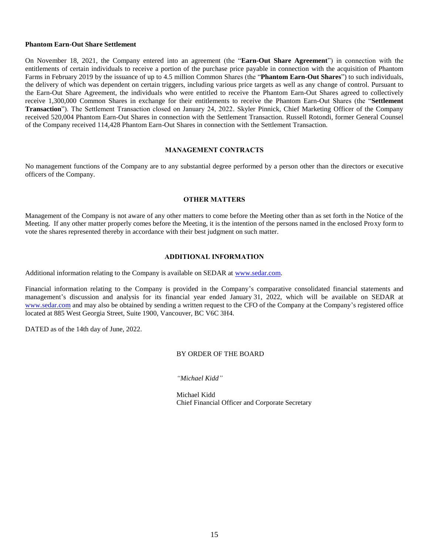#### **Phantom Earn-Out Share Settlement**

On November 18, 2021, the Company entered into an agreement (the "**Earn-Out Share Agreement**") in connection with the entitlements of certain individuals to receive a portion of the purchase price payable in connection with the acquisition of Phantom Farms in February 2019 by the issuance of up to 4.5 million Common Shares (the "**Phantom Earn-Out Shares**") to such individuals, the delivery of which was dependent on certain triggers, including various price targets as well as any change of control. Pursuant to the Earn-Out Share Agreement, the individuals who were entitled to receive the Phantom Earn-Out Shares agreed to collectively receive 1,300,000 Common Shares in exchange for their entitlements to receive the Phantom Earn-Out Shares (the "**Settlement Transaction**"). The Settlement Transaction closed on January 24, 2022. Skyler Pinnick, Chief Marketing Officer of the Company received 520,004 Phantom Earn-Out Shares in connection with the Settlement Transaction. Russell Rotondi, former General Counsel of the Company received 114,428 Phantom Earn-Out Shares in connection with the Settlement Transaction.

### **MANAGEMENT CONTRACTS**

No management functions of the Company are to any substantial degree performed by a person other than the directors or executive officers of the Company.

### **OTHER MATTERS**

Management of the Company is not aware of any other matters to come before the Meeting other than as set forth in the Notice of the Meeting. If any other matter properly comes before the Meeting, it is the intention of the persons named in the enclosed Proxy form to vote the shares represented thereby in accordance with their best judgment on such matter.

### **ADDITIONAL INFORMATION**

Additional information relating to the Company is available on SEDAR at [www.sedar.com.](http://www.sedar.com/)

Financial information relating to the Company is provided in the Company's comparative consolidated financial statements and management's discussion and analysis for its financial year ended January 31, 2022, which will be available on SEDAR at [www.sedar.com](http://www.sedar.com/) and may also be obtained by sending a written request to the CFO of the Company at the Company's registered office located at 885 West Georgia Street, Suite 1900, Vancouver, BC V6C 3H4.

DATED as of the 14th day of June, 2022.

## BY ORDER OF THE BOARD

*"Michael Kidd"*

Michael Kidd Chief Financial Officer and Corporate Secretary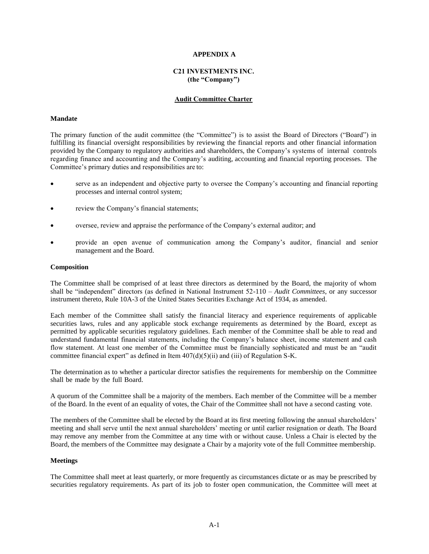#### **APPENDIX A**

## **C21 INVESTMENTS INC. (the "Company")**

#### **Audit Committee Charter**

#### **Mandate**

The primary function of the audit committee (the "Committee") is to assist the Board of Directors ("Board") in fulfilling its financial oversight responsibilities by reviewing the financial reports and other financial information provided by the Company to regulatory authorities and shareholders, the Company's systems of internal controls regarding finance and accounting and the Company's auditing, accounting and financial reporting processes. The Committee's primary duties and responsibilities are to:

- serve as an independent and objective party to oversee the Company's accounting and financial reporting processes and internal control system;
- review the Company's financial statements;
- oversee, review and appraise the performance of the Company's external auditor; and
- provide an open avenue of communication among the Company's auditor, financial and senior management and the Board.

#### **Composition**

The Committee shall be comprised of at least three directors as determined by the Board, the majority of whom shall be "independent" directors (as defined in National Instrument 52-110 – *Audit Committees*, or any successor instrument thereto, Rule 10A-3 of the United States Securities Exchange Act of 1934, as amended.

Each member of the Committee shall satisfy the financial literacy and experience requirements of applicable securities laws, rules and any applicable stock exchange requirements as determined by the Board, except as permitted by applicable securities regulatory guidelines. Each member of the Committee shall be able to read and understand fundamental financial statements, including the Company's balance sheet, income statement and cash flow statement. At least one member of the Committee must be financially sophisticated and must be an "audit committee financial expert" as defined in Item  $407(d)(5)(ii)$  and (iii) of Regulation S-K.

The determination as to whether a particular director satisfies the requirements for membership on the Committee shall be made by the full Board.

A quorum of the Committee shall be a majority of the members. Each member of the Committee will be a member of the Board. In the event of an equality of votes, the Chair of the Committee shall not have a second casting vote.

The members of the Committee shall be elected by the Board at its first meeting following the annual shareholders' meeting and shall serve until the next annual shareholders' meeting or until earlier resignation or death. The Board may remove any member from the Committee at any time with or without cause. Unless a Chair is elected by the Board, the members of the Committee may designate a Chair by a majority vote of the full Committee membership.

#### **Meetings**

The Committee shall meet at least quarterly, or more frequently as circumstances dictate or as may be prescribed by securities regulatory requirements. As part of its job to foster open communication, the Committee will meet at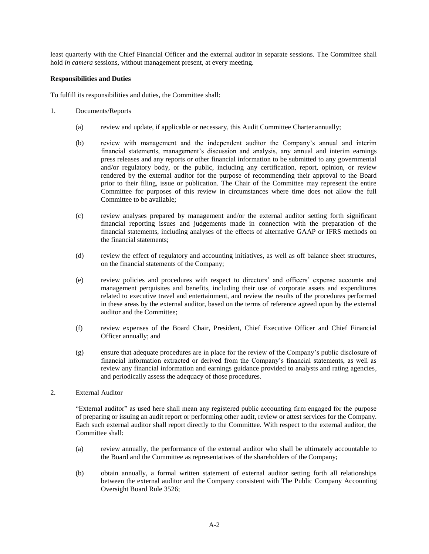least quarterly with the Chief Financial Officer and the external auditor in separate sessions. The Committee shall hold *in camera* sessions, without management present, at every meeting.

#### **Responsibilities and Duties**

To fulfill its responsibilities and duties, the Committee shall:

- 1. Documents/Reports
	- (a) review and update, if applicable or necessary, this Audit Committee Charter annually;
	- (b) review with management and the independent auditor the Company's annual and interim financial statements, management's discussion and analysis, any annual and interim earnings press releases and any reports or other financial information to be submitted to any governmental and/or regulatory body, or the public, including any certification, report, opinion, or review rendered by the external auditor for the purpose of recommending their approval to the Board prior to their filing, issue or publication. The Chair of the Committee may represent the entire Committee for purposes of this review in circumstances where time does not allow the full Committee to be available;
	- (c) review analyses prepared by management and/or the external auditor setting forth significant financial reporting issues and judgements made in connection with the preparation of the financial statements, including analyses of the effects of alternative GAAP or IFRS methods on the financial statements;
	- (d) review the effect of regulatory and accounting initiatives, as well as off balance sheet structures, on the financial statements of the Company;
	- (e) review policies and procedures with respect to directors' and officers' expense accounts and management perquisites and benefits, including their use of corporate assets and expenditures related to executive travel and entertainment, and review the results of the procedures performed in these areas by the external auditor, based on the terms of reference agreed upon by the external auditor and the Committee;
	- (f) review expenses of the Board Chair, President, Chief Executive Officer and Chief Financial Officer annually; and
	- (g) ensure that adequate procedures are in place for the review of the Company's public disclosure of financial information extracted or derived from the Company's financial statements, as well as review any financial information and earnings guidance provided to analysts and rating agencies, and periodically assess the adequacy of those procedures.

## 2. External Auditor

"External auditor" as used here shall mean any registered public accounting firm engaged for the purpose of preparing or issuing an audit report or performing other audit, review or attest services for the Company. Each such external auditor shall report directly to the Committee. With respect to the external auditor, the Committee shall:

- (a) review annually, the performance of the external auditor who shall be ultimately accountable to the Board and the Committee as representatives of the shareholders of the Company;
- (b) obtain annually, a formal written statement of external auditor setting forth all relationships between the external auditor and the Company consistent with The Public Company Accounting Oversight Board Rule 3526;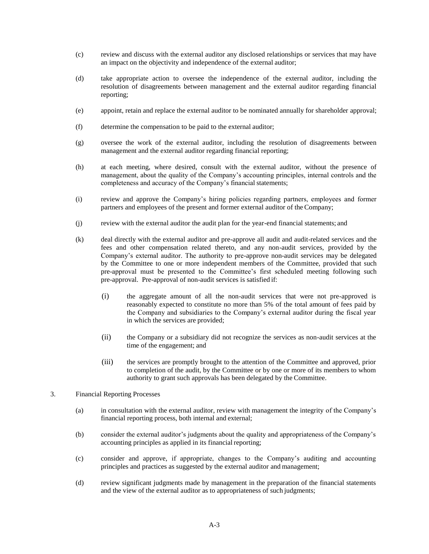- (c) review and discuss with the external auditor any disclosed relationships or services that may have an impact on the objectivity and independence of the external auditor;
- (d) take appropriate action to oversee the independence of the external auditor, including the resolution of disagreements between management and the external auditor regarding financial reporting;
- (e) appoint, retain and replace the external auditor to be nominated annually for shareholder approval;
- (f) determine the compensation to be paid to the external auditor;
- (g) oversee the work of the external auditor, including the resolution of disagreements between management and the external auditor regarding financial reporting;
- (h) at each meeting, where desired, consult with the external auditor, without the presence of management, about the quality of the Company's accounting principles, internal controls and the completeness and accuracy of the Company's financial statements;
- (i) review and approve the Company's hiring policies regarding partners, employees and former partners and employees of the present and former external auditor of the Company;
- (j) review with the external auditor the audit plan for the year-end financial statements; and
- (k) deal directly with the external auditor and pre-approve all audit and audit-related services and the fees and other compensation related thereto, and any non-audit services, provided by the Company's external auditor. The authority to pre-approve non-audit services may be delegated by the Committee to one or more independent members of the Committee, provided that such pre-approval must be presented to the Committee's first scheduled meeting following such pre-approval. Pre-approval of non-audit services is satisfied if:
	- (i) the aggregate amount of all the non-audit services that were not pre-approved is reasonably expected to constitute no more than 5% of the total amount of fees paid by the Company and subsidiaries to the Company's external auditor during the fiscal year in which the services are provided;
	- (ii) the Company or a subsidiary did not recognize the services as non-audit services at the time of the engagement; and
	- (iii) the services are promptly brought to the attention of the Committee and approved, prior to completion of the audit, by the Committee or by one or more of its members to whom authority to grant such approvals has been delegated by the Committee.
- 3. Financial Reporting Processes
	- (a) in consultation with the external auditor, review with management the integrity of the Company's financial reporting process, both internal and external;
	- (b) consider the external auditor's judgments about the quality and appropriateness of the Company's accounting principles as applied in its financial reporting;
	- (c) consider and approve, if appropriate, changes to the Company's auditing and accounting principles and practices as suggested by the external auditor and management;
	- (d) review significant judgments made by management in the preparation of the financial statements and the view of the external auditor as to appropriateness of such judgments;